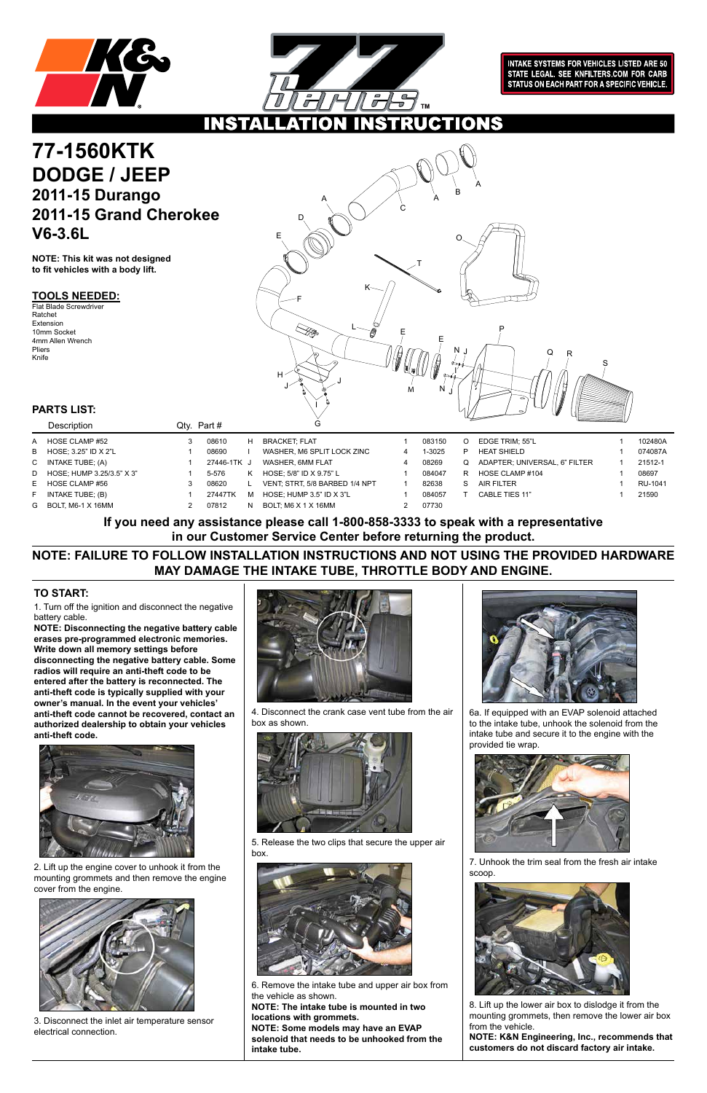



**INTAKE SYSTEMS FOR VEHICLES LISTED ARE 50** STATE LEGAL. SEE KNFILTERS.COM FOR CARB STATUS ON EACH PART FOR A SPECIFIC VEHICLE.

**CTIONS** INS

### **TOOLS NEEDED:**

### **PARTS LIST:**

**NOTE: This kit was not designed to fit vehicles with a body lift.**

1. Turn off the ignition and disconnect the negative battery cable.

## **77-1560KTK DODGE / JEEP 2011-15 Durango 2011-15 Grand Cherokee V6-3.6L**

**NOTE: Disconnecting the negative battery cable erases pre-programmed electronic memories. Write down all memory settings before disconnecting the negative battery cable. Some radios will require an anti-theft code to be entered after the battery is reconnected. The anti-theft code is typically supplied with your owner's manual. In the event your vehicles' anti-theft code cannot be recovered, contact an authorized dealership to obtain your vehicles anti-theft code.**



### **TO START:**

2. Lift up the engine cover to unhook it from the mounting grommets and then remove the engine cover from the engine.



3. Disconnect the inlet air temperature sensor electrical connection.



4. Disconnect the crank case vent tube from the air box as shown.



5. Release the two clips that secure the upper air box.



6. Remove the intake tube and upper air box from the vehicle as shown.

**NOTE: The intake tube is mounted in two locations with grommets. NOTE: Some models may have an EVAP** 

**solenoid that needs to be unhooked from the intake tube.**

| Description                 |   | Qty. Part # |    | G                              |        |    |                               |         |
|-----------------------------|---|-------------|----|--------------------------------|--------|----|-------------------------------|---------|
| A HOSE CLAMP #52            | 3 | 08610       | н  | <b>BRACKET; FLAT</b>           | 083150 |    | EDGE TRIM: 55"L               | 102480A |
| B HOSE; 3.25" ID X 2"L      |   | 08690       |    | WASHER, M6 SPLIT LOCK ZINC     | 1-3025 |    | <b>HEAT SHIELD</b>            | 074087A |
| C INTAKE TUBE; (A)          |   | 27446-1TK J |    | WASHER, 6MM FLAT               | 08269  |    | ADAPTER: UNIVERSAL, 6" FILTER | 21512-1 |
| D HOSE; HUMP 3.25/3.5" X 3" |   | 5-576       | K  | HOSE: 5/8" ID X 9.75" L        | 084047 | R  | HOSE CLAMP #104               | 08697   |
| E HOSE CLAMP #56            | 3 | 08620       |    | VENT, STRT, 5/8 BARBED 1/4 NPT | 82638  | S. | AIR FILTER                    | RU-1041 |
| F INTAKE TUBE; (B)          |   | 27447TK     | м  | HOSE; HUMP 3.5" ID X 3"L       | 084057 |    | CABLE TIES 11"                | 21590   |
| G BOLT, M6-1 X 16MM         |   | 07812       | N. | BOLT: M6 X 1 X 16MM            | 07730  |    |                               |         |
|                             |   |             |    |                                |        |    |                               |         |



6a. If equipped with an EVAP solenoid attached to the intake tube, unhook the solenoid from the intake tube and secure it to the engine with the provided tie wrap.



7. Unhook the trim seal from the fresh air intake scoop.



8. Lift up the lower air box to dislodge it from the mounting grommets, then remove the lower air box from the vehicle.

**NOTE: K&N Engineering, Inc., recommends that customers do not discard factory air intake.**

Flat Blade Screwdriver Ratchet Extension 10mm Socket 4mm Allen Wrench Pliers Knife



## **NOTE: FAILURE TO FOLLOW INSTALLATION INSTRUCTIONS AND NOT USING THE PROVIDED HARDWARE MAY DAMAGE THE INTAKE TUBE, THROTTLE BODY AND ENGINE.**

**If you need any assistance please call 1-800-858-3333 to speak with a representative in our Customer Service Center before returning the product.**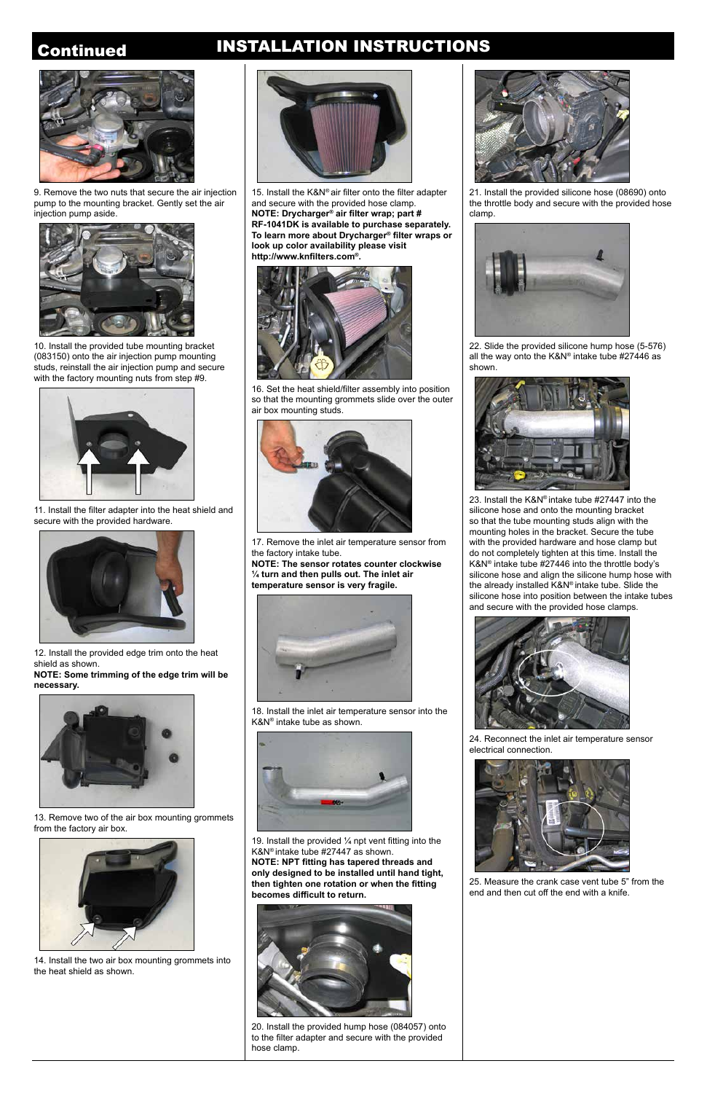## Continued INSTALLATION INSTRUCTIONS



10. Install the provided tube mounting bracket (083150) onto the air injection pump mounting studs, reinstall the air injection pump and secure with the factory mounting nuts from step #9.



11. Install the filter adapter into the heat shield and secure with the provided hardware.



12. Install the provided edge trim onto the heat shield as shown. **NOTE: Some trimming of the edge trim will be** 

**necessary.**



13. Remove two of the air box mounting grommets from the factory air box.



14. Install the two air box mounting grommets into the heat shield as shown.



15. Install the K&N® air filter onto the filter adapter and secure with the provided hose clamp. **NOTE: Drycharger® air filter wrap; part # RF-1041DK is available to purchase separately. To learn more about Drycharger® filter wraps or look up color availability please visit http://www.knfilters.com®.**

19. Install the provided  $\frac{1}{4}$  npt vent fitting into the K&N® intake tube #27447 as shown. **NOTE: NPT fitting has tapered threads and only designed to be installed until hand tight, then tighten one rotation or when the fitting becomes difficult to return.** 



16. Set the heat shield/filter assembly into position so that the mounting grommets slide over the outer air box mounting studs.



17. Remove the inlet air temperature sensor from the factory intake tube.

**NOTE: The sensor rotates counter clockwise ¼ turn and then pulls out. The inlet air temperature sensor is very fragile.**



18. Install the inlet air temperature sensor into the K&N® intake tube as shown.





20. Install the provided hump hose (084057) onto to the filter adapter and secure with the provided hose clamp.



21. Install the provided silicone hose (08690) onto the throttle body and secure with the provided hose clamp.



22. Slide the provided silicone hump hose (5-576) all the way onto the K&N® intake tube #27446 as shown.



23. Install the K&N® intake tube #27447 into the silicone hose and onto the mounting bracket so that the tube mounting studs align with the mounting holes in the bracket. Secure the tube with the provided hardware and hose clamp but do not completely tighten at this time. Install the K&N® intake tube #27446 into the throttle body's silicone hose and align the silicone hump hose with the already installed K&N® intake tube. Slide the silicone hose into position between the intake tubes and secure with the provided hose clamps.



24. Reconnect the inlet air temperature sensor electrical connection.



25. Measure the crank case vent tube 5" from the end and then cut off the end with a knife.



9. Remove the two nuts that secure the air injection pump to the mounting bracket. Gently set the air injection pump aside.